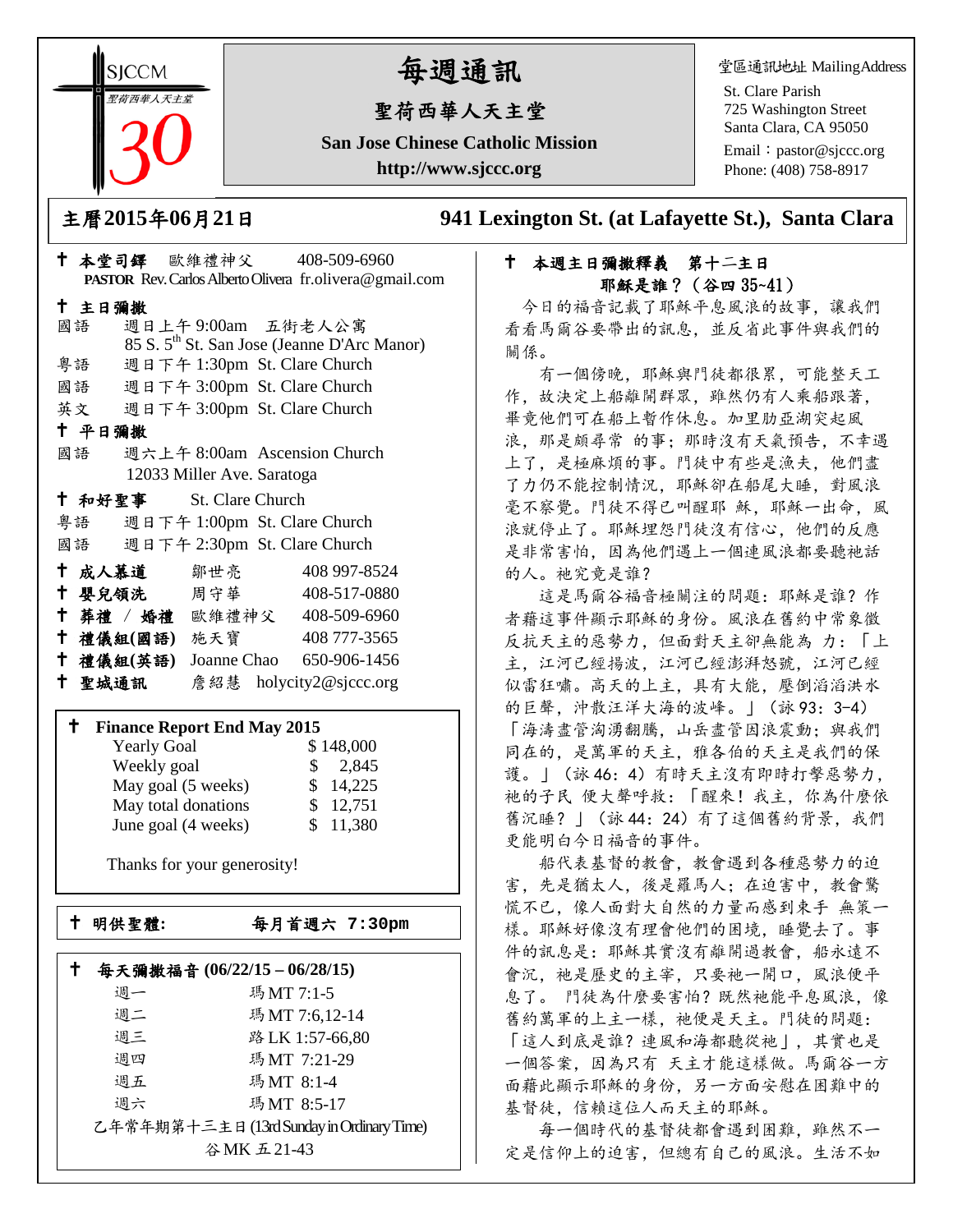**SICCM** 聖荷西華人天主堂 

# 每週通訊

# 聖荷西華人天主堂

**San Jose Chinese Catholic Mission http://www.sjccc.org**

堂區通訊地址 MailingAddress

St. Clare Parish 725 Washington Street Santa Clara, CA 95050

Email: [pastor@sjccc.org](mailto:pastor@sjccc.org) Phone: (408) 758-8917

主曆**2015**年**06**月**21**日 **941 Lexington St. (at Lafayette St.), Santa Clara** 

# 本堂司鐸 歐維禮神父 408-509-6960 **PASTOR** Rev. Carlos Alberto Olivera fr.olivera@gmail.com 主日彌撒 國語 週日上午 9:00am 五街老人公寓 85 S. 5th St. San Jose (Jeanne D'Arc Manor) 粵語 週日下午 1:30pm St. Clare Church 國語 週日下午 3:00pm St. Clare Church 英文 週日下午 3:00pm St. Clare Church 平日彌撒 國語 週六上午 8:00am Ascension Church 12033 Miller Ave. Saratoga 和好聖事 St. Clare Church 粵語 週日下午 1:00pm St. Clare Church 國語 週日下午 2:30pm St. Clare Church 成人慕道 鄒世亮 408 997-8524 十 嬰兒領洗 周守華 408-517-0880 葬禮 / 婚禮 歐維禮神父 408-509-6960 禮儀組**(**國語**)** 施天寶 408 777-3565 禮儀組**(**英語**)** Joanne Chao 650-906-1456

### 聖城通訊 詹紹慧 holycity2@sjccc.org

#### **Finance Report End May 2015**

| <b>Yearly Goal</b>  | \$148,000    |
|---------------------|--------------|
| Weekly goal         | 2,845<br>SS. |
| May goal (5 weeks)  | \$14,225     |
| May total donations | \$12,751     |
| June goal (4 weeks) | \$11,380     |

Thanks for your generosity!

Ē

明供聖體**:** 每月首週六 **7:30pm**

| 每天彌撒福音 (06/22/15-06/28/15)                |    |                 |
|-------------------------------------------|----|-----------------|
|                                           | 调一 | 瑪MT 7:1-5       |
|                                           | 週二 | 瑪MT 7:6,12-14   |
|                                           | 週三 | 路 LK 1:57-66,80 |
|                                           | 週四 | 瑪MT 7:21-29     |
|                                           | 週五 | 瑪MT 8:1-4       |
|                                           | 週六 | 瑪MT 8:5-17      |
| 乙年常年期第十三主日 (13rd Sunday in Ordinary Time) |    |                 |
| 谷MK五21-43                                 |    |                 |

# 本週主日彌撒釋義 第十二主日 耶穌是誰?(谷四 35~41)

今日的福音記載了耶穌平息風浪的故事,讓我們 看看馬爾谷要帶出的訊息,並反省此事件與我們的 關係。

 有一個傍晚,耶穌與門徒都很累,可能整天工 作,故決定上船離開群眾,雖然仍有人乘船跟著, 畢竟他們可在船上暫作休息。加里肋亞湖突起風 浪,那是頗尋常 的事;那時沒有天氣預告,不幸遇 上了,是極麻煩的事。門徒中有些是漁夫,他們盡 了力仍不能控制情況,耶穌卻在船尾大睡,對風浪 毫不察覺。門徒不得已叫醒耶 穌, 耶穌一出命, 風 浪就停止了。耶穌埋怨門徒沒有信心。他們的反應 是非常害怕,因為他們遇上一個連風浪都要聽祂話 的人。祂究竟是誰?

這是馬爾谷福音極關注的問題: 耶穌是誰?作 者藉這事件顯示耶穌的身份。風浪在舊約中常象徵 反抗天主的惡勢力,但面對天主卻無能為 力:「上 主,江河已經揚波,江河已經澎湃怒號,江河已經 似雷狂嘯。高天的上主,具有大能,壓倒滔滔洪水 的巨聲,沖散汪洋大海的波峰。」(詠 93:3-4) 「海濤盡管洶湧翻騰,山岳盡管因浪震動;與我們 同在的,是萬軍的天主,雅各伯的天主是我們的保 護。」(詠 46:4)有時天主沒有即時打擊惡勢力, 祂的子民 便大聲呼救:「醒來!我主,你為什麼依 舊沉睡?」(詠 44:24)有了這個舊約背景,我們 更能明白今日福音的事件。

 船代表基督的教會,教會遇到各種惡勢力的迫 害,先是猶太人,後是羅馬人;在迫害中,教會驚 慌不已,像人面對大自然的力量而感到束手 無策一 樣。耶穌好像沒有理會他們的困境,睡覺去了。事 件的訊息是:耶穌其實沒有離開過教會,船永遠不 會沉,祂是歷史的主宰,只要祂一開口,風浪便平 息了。 門徒為什麼要害怕?既然祂能平息風浪,像 舊約萬軍的上主一樣,祂便是天主。門徒的問題: 「這人到底是誰?連風和海都聽從祂」,其實也是 一個答案,因為只有 天主才能這樣做。馬爾谷一方 面藉此顯示耶穌的身份,另一方面安慰在困難中的 基督徒,信賴這位人而天主的耶穌。

 每一個時代的基督徒都會遇到困難,雖然不一 定是信仰上的迫害,但總有自己的風浪。生活不如